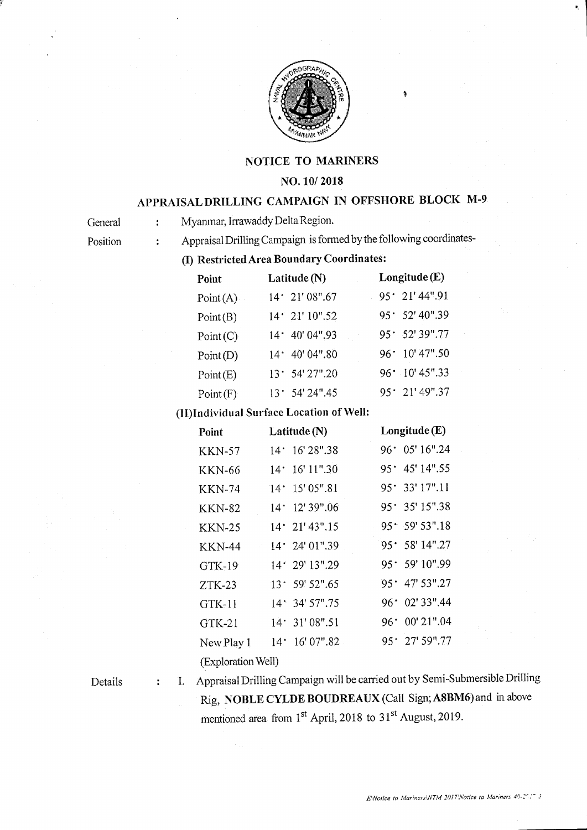

### NOTICE TO MARINERS

### NO. 10/ 2018

# APPRAISALDRILLING CAMPAIGN IN OFFSHORE BLOCK M.9

General : Myanmar, Irrawaddy Delta Region.

Position : Appraisal Drilling Campaign is formed by the following coordinates-

(I) Restricted Area Boundary Coordinates:

| Point    | Latitude $(N)$   | Longitude (E)          |
|----------|------------------|------------------------|
| Point(A) | 14.21'08''.67    | $95 \cdot 21' 44''.91$ |
| Point(B) | $14'$ 21' 10".52 | $95.52'$ 40".39        |
| Point(C) | 14.40'04''.93    | 95.52'39''.77          |
| Point(D) | 14* 40' 04".80   | $96 \cdot 10' 47''.50$ |
| Point(E) | 13.54'27''.20    | $96 \cdot 10' 45''.33$ |
| Point(F) | 13.54'24''.45    | $95 \cdot 21' 49''.37$ |

## (II)Individual Surface Location of Well:

| Point              | Latitude $(N)$             | Longitude $(E)$         |  |
|--------------------|----------------------------|-------------------------|--|
| <b>KKN-57</b>      | 16'28''.38<br>$14^{\circ}$ | $96 \cdot 05' 16''.24$  |  |
| <b>KKN-66</b>      | 16' 11".30<br>$14^\circ$   | $95 \cdot 45'$ 14".55   |  |
| <b>KKN-74</b>      | 15' 05".81<br>$14^{\circ}$ | $95'$ 33' 17".11        |  |
| KKN-82             | 14.12'39''.06              | $95 \cdot 35' 15''.38$  |  |
| <b>KKN-25</b>      | $14 \cdot 21' 43''.15$     | 95.59'53''.18           |  |
| <b>KKN-44</b>      | $14'$ 24' 01".39           | $95 \cdot 58$ ' 14".27  |  |
| $GTK-19$           | $14'$ 29' $13''.29$        | 95.59'10''.99           |  |
| $ZTK-23$           | $13^{\circ}$ 59' 52".65    | $95^{\circ}$ 47' 53".27 |  |
| GTK-11             | $14.34'$ 57".75            | $96^{\circ}$ 02' 33".44 |  |
| $GTK-21$           | 14.31'08''.51              | $96 \cdot 00' 21''.04$  |  |
| New Play 1         | 16' 07".82<br>$14^{\circ}$ | $95^{\circ}$ 27' 59".77 |  |
| (Exploration Well) |                            |                         |  |

#### Details

 $\ddot{\phantom{a}}$ 

l. Appraisal Drilling Carnpaign will be carried out by Semi-submersible Drilling Rig, NOBLE CYLDE BOUDREAUX (Call Sign; A8BM6) and in above mentioned area from  $1<sup>st</sup>$  April, 2018 to 31<sup>st</sup> August, 2019.